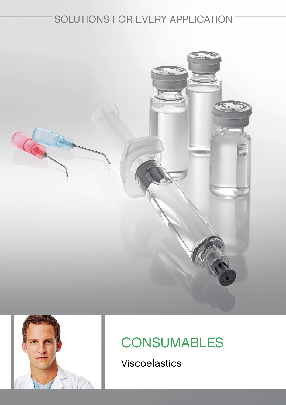## SOLUTIONS FOR EVERY APPLICATION





# **CONSUMABLES**

Viscoelastics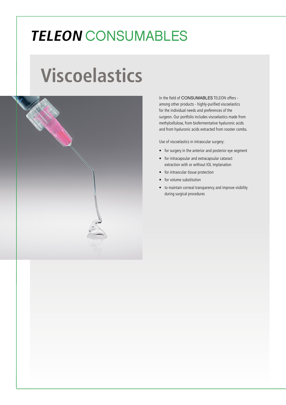# **TELEON** CONSUMABLES

# **Viscoelastics**



In the field of CONSUMABLES TELEON offers among other products - highly-purified viscoelastics for the individual needs and preferences of the surgeon. Our portfolio includes viscoelastics made from methylcellulose, from biofermentative hyaluronic acids and from hyaluronic acids extracted from rooster combs.

Use of viscoelastics in intraocular surgery:

- for surgery in the anterior and posterior eye segment
- for intracapsular and extracapsular cataract extraction with or without IOL implanation
- for intraocular tissue protection
- for volume substitution
- to maintain corneal transparency and improve visibility during surgical procedures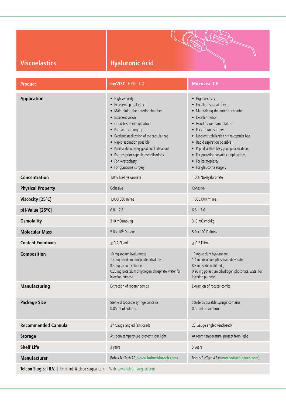| <b>Viscoelastics</b> |  |  |
|----------------------|--|--|
|                      |  |  |

### **Hyaluronic Acid**

| <b>Product</b>                                         | myVISC HYAL 1.0                                                                                                                                                                                                                                                                                                                                                                                | <b>Microvisc 1.0</b>                                                                                                                                                                                                                                                                                                                                                                           |
|--------------------------------------------------------|------------------------------------------------------------------------------------------------------------------------------------------------------------------------------------------------------------------------------------------------------------------------------------------------------------------------------------------------------------------------------------------------|------------------------------------------------------------------------------------------------------------------------------------------------------------------------------------------------------------------------------------------------------------------------------------------------------------------------------------------------------------------------------------------------|
| <b>Application</b>                                     | • High viscosity<br>• Excellent spatial effect<br>• Maintaining the anterior chamber<br>• Excellent vision<br>• Good tissue manipulation<br>• For cataract surgery<br>• Excellent stabilization of the capsular bag<br>• Rapid aspiration possible<br>• Pupil dilatation (very good pupil dilatation)<br>• For posterior capsule complications<br>• For keratoplasty<br>• For glaucoma surgery | • High viscosity<br>• Excellent spatial effect<br>• Maintaining the anterior chamber<br>• Excellent vision<br>• Good tissue manipulation<br>• For cataract surgery<br>• Excellent stabilization of the capsular bag<br>• Rapid aspiration possible<br>• Pupil dilatation (very good pupil dilatation)<br>• For posterior capsule complications<br>• For keratoplasty<br>• For glaucoma surgery |
| <b>Concentration</b>                                   | 1.0% Na-Hyaluronate                                                                                                                                                                                                                                                                                                                                                                            | 1.0% Na-Hyaluronate                                                                                                                                                                                                                                                                                                                                                                            |
| <b>Physical Property</b>                               | Cohesive                                                                                                                                                                                                                                                                                                                                                                                       | Cohesive                                                                                                                                                                                                                                                                                                                                                                                       |
| Viscosity [25°C]                                       | 1,000,000 mPa-s                                                                                                                                                                                                                                                                                                                                                                                | 1,000,000 mPa-s                                                                                                                                                                                                                                                                                                                                                                                |
| pH-Value [25°C]                                        | $6.8 - 7.6$                                                                                                                                                                                                                                                                                                                                                                                    | $6.8 - 7.6$                                                                                                                                                                                                                                                                                                                                                                                    |
| <b>Osmolality</b>                                      | 310 mOsmol/kg                                                                                                                                                                                                                                                                                                                                                                                  | 310 mOsmol/kg                                                                                                                                                                                                                                                                                                                                                                                  |
| <b>Molecular Mass</b>                                  | $5.0 \times 10^6$ Daltons                                                                                                                                                                                                                                                                                                                                                                      | $5.0 \times 10^6$ Daltons                                                                                                                                                                                                                                                                                                                                                                      |
| <b>Content Endotoxin</b>                               | $\leq$ 0.2 EU/ml                                                                                                                                                                                                                                                                                                                                                                               | $\leq$ 0.2 EU/ml                                                                                                                                                                                                                                                                                                                                                                               |
| Composition                                            | 10 mg sodium hyaluronate,<br>1.4 mg disodium phosphate dihydrate,<br>8.3 mg sodium chloride,<br>0.26 mg potassium dihydrogen phosphate, water for<br>injection purpose                                                                                                                                                                                                                         | 10 mg sodium hyaluronate,<br>1.4 mg disodium phosphate dihydrate,<br>8.3 mg sodium chloride,<br>0.26 mg potassium dihydrogen phosphate, water for<br>injection purpose                                                                                                                                                                                                                         |
| <b>Manufacturing</b>                                   | Extraction of rooster combs                                                                                                                                                                                                                                                                                                                                                                    | Extraction of rooster combs                                                                                                                                                                                                                                                                                                                                                                    |
| <b>Package Size</b>                                    | Sterile disposable syringe contains<br>0.85 ml of solution                                                                                                                                                                                                                                                                                                                                     | Sterile disposable syringe contains<br>0.55 ml of solution                                                                                                                                                                                                                                                                                                                                     |
| <b>Recommended Cannula</b>                             | 27 Gauge angled (enclosed)                                                                                                                                                                                                                                                                                                                                                                     | 27 Gauge angled (enclosed)                                                                                                                                                                                                                                                                                                                                                                     |
| <b>Storage</b>                                         | At room temperature, protect from light                                                                                                                                                                                                                                                                                                                                                        | At room temperature, protect from light                                                                                                                                                                                                                                                                                                                                                        |
| <b>Shelf Life</b>                                      | 3 years                                                                                                                                                                                                                                                                                                                                                                                        | 3 years                                                                                                                                                                                                                                                                                                                                                                                        |
| <b>Manufacturer</b>                                    | Bohus BioTech AB (www.bohusbiotech.com)                                                                                                                                                                                                                                                                                                                                                        | Bohus BioTech AB (www.bohusbiotech.com)                                                                                                                                                                                                                                                                                                                                                        |
| Teleon Surgical B.V.   Email. info@teleon-surgical.com | Web. www.teleon-surgical.com                                                                                                                                                                                                                                                                                                                                                                   |                                                                                                                                                                                                                                                                                                                                                                                                |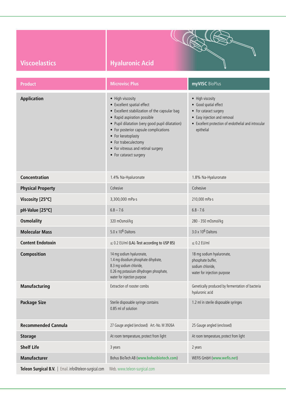| <b>Viscoelastics</b>                                   | <b>Hyaluronic Acid</b>                                                                                                                                                                                                                                                                                                                   |                                                                                                                                                                           |  |
|--------------------------------------------------------|------------------------------------------------------------------------------------------------------------------------------------------------------------------------------------------------------------------------------------------------------------------------------------------------------------------------------------------|---------------------------------------------------------------------------------------------------------------------------------------------------------------------------|--|
| <b>Product</b>                                         | <b>Microvisc Plus</b>                                                                                                                                                                                                                                                                                                                    | myVISC BioPlus                                                                                                                                                            |  |
| <b>Application</b>                                     | • High viscosity<br>• Excellent spatial effect<br>• Excellent stabilization of the capsular bag<br>• Rapid aspiration possible<br>• Pupil dilatation (very good pupil dilatation)<br>• For posterior capsule complications<br>• For keratoplasty<br>• For trabeculectomy<br>• For vitreous and retinal surgery<br>• For cataract surgery | • High viscosity<br>• Good spatial effect<br>• For cataract surgery<br>• Easy injection and removal<br>• Excellent protection of endothelial and introcular<br>epithelial |  |
| <b>Concentration</b>                                   | 1.4% Na-Hyaluronate                                                                                                                                                                                                                                                                                                                      | 1.8% Na-Hyaluronate                                                                                                                                                       |  |
| <b>Physical Property</b>                               | Cohesive                                                                                                                                                                                                                                                                                                                                 | Cohesive                                                                                                                                                                  |  |
| Viscosity [25°C]                                       | 3,300,000 mPa·s                                                                                                                                                                                                                                                                                                                          | 210,000 mPa-s                                                                                                                                                             |  |
| pH-Value [25°C]                                        | $6.8 - 7.6$                                                                                                                                                                                                                                                                                                                              | $6.8 - 7.6$                                                                                                                                                               |  |
| <b>Osmolality</b>                                      | 320 mOsmol/kg                                                                                                                                                                                                                                                                                                                            | 280 - 350 mOsmol/kg                                                                                                                                                       |  |
| <b>Molecular Mass</b>                                  | $5.0 \times 10^6$ Daltons                                                                                                                                                                                                                                                                                                                | $3.0 \times 10^6$ Daltons                                                                                                                                                 |  |
| <b>Content Endotoxin</b>                               | $\leq$ 0.2 EU/ml (LAL-Test according to USP 85)                                                                                                                                                                                                                                                                                          | $\leq$ 0.2 EU/ml                                                                                                                                                          |  |
| Composition                                            | 14 mg sodium hyaluronate,<br>1.4 mg disodium phosphate dihydrate,<br>8.3 mg sodium chloride,<br>0.26 mg potassium dihydrogen phosphate,<br>water for injection purpose                                                                                                                                                                   | 18 mg sodium hyaluronate,<br>phosphate buffer,<br>sodium chloride,<br>water for injection purpose                                                                         |  |
| <b>Manufacturing</b>                                   | Extraction of rooster combs                                                                                                                                                                                                                                                                                                              | Genetically produced by fermentation of bacteria<br>hyaluronic acid                                                                                                       |  |
| <b>Package Size</b>                                    | Sterile disposable syringe contains<br>0.85 ml of solution                                                                                                                                                                                                                                                                               | 1.2 ml in sterile disposable syringes                                                                                                                                     |  |
| <b>Recommended Cannula</b>                             | 27 Gauge angled (enclosed) Art.-No. M 3926A                                                                                                                                                                                                                                                                                              | 25 Gauge angled (enclosed)                                                                                                                                                |  |
| <b>Storage</b>                                         | At room temperature, protect from light                                                                                                                                                                                                                                                                                                  | At room temperature, protect from light                                                                                                                                   |  |
| <b>Shelf Life</b>                                      | 3 years                                                                                                                                                                                                                                                                                                                                  | 2 years                                                                                                                                                                   |  |
| <b>Manufacturer</b>                                    | Bohus BioTech AB (www.bohusbiotech.com)                                                                                                                                                                                                                                                                                                  | WEFIS GmbH (www.wefis.net)                                                                                                                                                |  |
| Teleon Surgical B.V.   Email. info@teleon-surgical.com | Web. www.teleon-surgical.com                                                                                                                                                                                                                                                                                                             |                                                                                                                                                                           |  |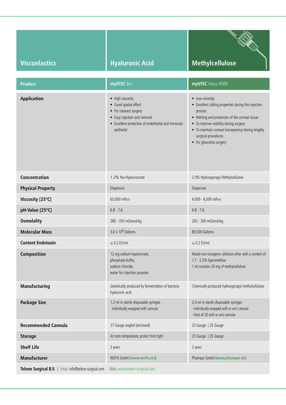|                                                        |                                                                                                                                                                           | <b>RAKAL</b>                                                                                                                                                                                                                                                                        |
|--------------------------------------------------------|---------------------------------------------------------------------------------------------------------------------------------------------------------------------------|-------------------------------------------------------------------------------------------------------------------------------------------------------------------------------------------------------------------------------------------------------------------------------------|
| <b>Viscoelastics</b>                                   | <b>Hyaluronic Acid</b>                                                                                                                                                    | <b>Methylcellulose</b>                                                                                                                                                                                                                                                              |
| <b>Product</b>                                         | myVISC Bio                                                                                                                                                                | myVISC Visco 4500                                                                                                                                                                                                                                                                   |
| <b>Application</b>                                     | • High viscosity<br>• Good spatial effect<br>• For cataract surgery<br>• Easy injection and removal<br>• Excellent protection of endothelial and introcular<br>epithelial | • Low viscosity<br>• Excellent sliding properties during the injection<br>process<br>• Wetting and protection of the corneal tissue<br>• To improve visibility during surgery<br>• To maintain corneal transparency during lengthy<br>surgical procedures<br>• For glaucoma surgery |
| <b>Concentration</b>                                   | 1.2% Na-Hyaluronate                                                                                                                                                       | 2.0% Hydroxypropyl Methylcellulose                                                                                                                                                                                                                                                  |
| <b>Physical Property</b>                               | Dispersive                                                                                                                                                                | Dispersive                                                                                                                                                                                                                                                                          |
| Viscosity [25°C]                                       | 65,000 mPa·s                                                                                                                                                              | 4,000 - 6,000 mPa·s                                                                                                                                                                                                                                                                 |
| pH-Value [25°C]                                        | $6.8 - 7.6$                                                                                                                                                               | $6.8 - 7.6$                                                                                                                                                                                                                                                                         |
| <b>Osmolality</b>                                      | 280 - 350 mOsmol/kg                                                                                                                                                       | 265 - 300 mOsmol/kg                                                                                                                                                                                                                                                                 |
| <b>Molecular Mass</b>                                  | $3.0 \times 10^6$ Daltons                                                                                                                                                 | 80,000 Daltons                                                                                                                                                                                                                                                                      |
| <b>Content Endotoxin</b>                               | $< 0.2$ EU/ml                                                                                                                                                             | $\leq$ 0.2 EU/ml                                                                                                                                                                                                                                                                    |
| Composition                                            | 12 mg sodium hyaluronate,<br>phosphate buffer,<br>sodium chloride,<br>water for injection purpose                                                                         | Mixed non-ionogenic cellulose ether with a content of<br>1.7 - 2.3% hypromellose<br>1 ml contains 20 mg of methylcellulose                                                                                                                                                          |
| <b>Manufacturing</b>                                   | Genetically produced by fermentation of bacteria<br>hyaluronic acid                                                                                                       | Chemically produced hydroxypropyl methylcellulose                                                                                                                                                                                                                                   |
| <b>Package Size</b>                                    | 1.2 ml in sterile disposable syringes<br>- Individually wrapped with cannula                                                                                              | 2.0 ml in sterile disposable syringes<br>- Individually wrapped with or w/o cannula<br>- Pack of 20 with or w/o cannula                                                                                                                                                             |
| <b>Recommended Cannula</b>                             | 27 Gauge angled (enclosed)                                                                                                                                                | 23 Gauge   25 Gauge                                                                                                                                                                                                                                                                 |
| <b>Storage</b>                                         | At room temperature, protect from light                                                                                                                                   | 23 Gauge   25 Gauge                                                                                                                                                                                                                                                                 |
| <b>Shelf Life</b>                                      | 2 years                                                                                                                                                                   | 2 years                                                                                                                                                                                                                                                                             |
| <b>Manufacturer</b>                                    | WEFIS GmbH (www.wefis.net)                                                                                                                                                | Phampur GmbH (www.phampur.de)                                                                                                                                                                                                                                                       |
| Teleon Surgical B.V.   Email. info@teleon-surgical.com | Web. www.teleon-surgical.com                                                                                                                                              |                                                                                                                                                                                                                                                                                     |